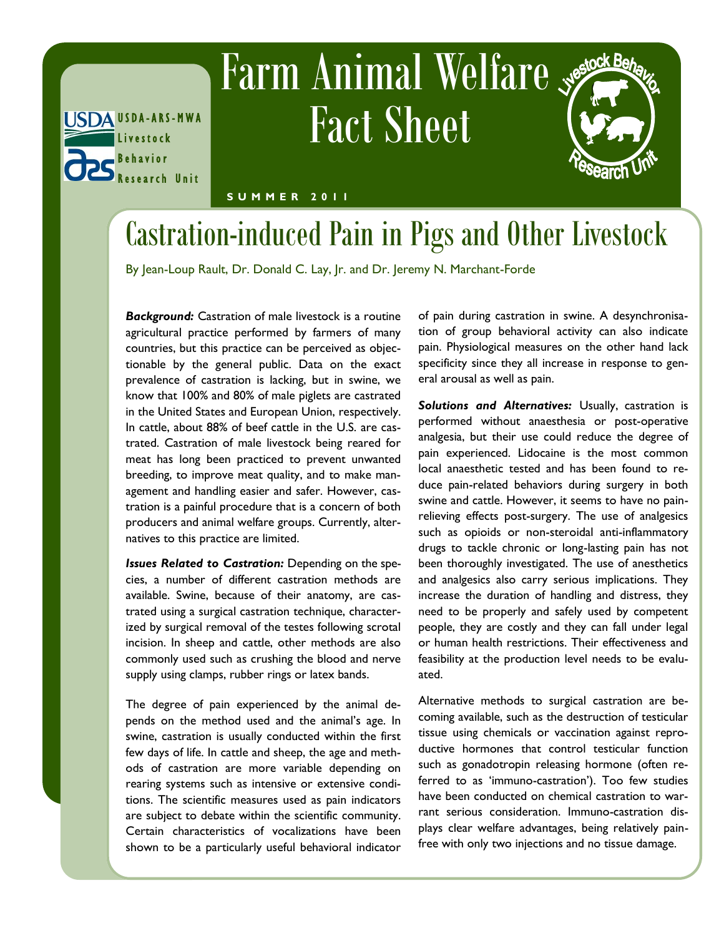# **Farm Animal Welfare** Fact Sheet



**S U M M E R 2 0 1 1**

U S D A -A R S - M W A

Research Unit

L i v e s t o c k B e h a v i o r

### Castration-induced Pain in Pigs and Other Livestock

By Jean-Loup Rault, Dr. Donald C. Lay, Jr. and Dr. Jeremy N. Marchant-Forde

*Background:* Castration of male livestock is a routine agricultural practice performed by farmers of many countries, but this practice can be perceived as objectionable by the general public. Data on the exact prevalence of castration is lacking, but in swine, we know that 100% and 80% of male piglets are castrated in the United States and European Union, respectively. In cattle, about 88% of beef cattle in the U.S. are castrated. Castration of male livestock being reared for meat has long been practiced to prevent unwanted breeding, to improve meat quality, and to make management and handling easier and safer. However, castration is a painful procedure that is a concern of both producers and animal welfare groups. Currently, alternatives to this practice are limited.

*Issues Related to Castration:* Depending on the species, a number of different castration methods are available. Swine, because of their anatomy, are castrated using a surgical castration technique, characterized by surgical removal of the testes following scrotal incision. In sheep and cattle, other methods are also commonly used such as crushing the blood and nerve supply using clamps, rubber rings or latex bands.

The degree of pain experienced by the animal depends on the method used and the animal's age. In swine, castration is usually conducted within the first few days of life. In cattle and sheep, the age and methods of castration are more variable depending on rearing systems such as intensive or extensive conditions. The scientific measures used as pain indicators are subject to debate within the scientific community. Certain characteristics of vocalizations have been shown to be a particularly useful behavioral indicator

of pain during castration in swine. A desynchronisation of group behavioral activity can also indicate pain. Physiological measures on the other hand lack specificity since they all increase in response to general arousal as well as pain.

*Solutions and Alternatives:* Usually, castration is performed without anaesthesia or post-operative analgesia, but their use could reduce the degree of pain experienced. Lidocaine is the most common local anaesthetic tested and has been found to reduce pain-related behaviors during surgery in both swine and cattle. However, it seems to have no painrelieving effects post-surgery. The use of analgesics such as opioids or non-steroidal anti-inflammatory drugs to tackle chronic or long-lasting pain has not been thoroughly investigated. The use of anesthetics and analgesics also carry serious implications. They increase the duration of handling and distress, they need to be properly and safely used by competent people, they are costly and they can fall under legal or human health restrictions. Their effectiveness and feasibility at the production level needs to be evaluated.

Alternative methods to surgical castration are becoming available, such as the destruction of testicular tissue using chemicals or vaccination against reproductive hormones that control testicular function such as gonadotropin releasing hormone (often referred to as 'immuno-castration'). Too few studies have been conducted on chemical castration to warrant serious consideration. Immuno-castration displays clear welfare advantages, being relatively painfree with only two injections and no tissue damage.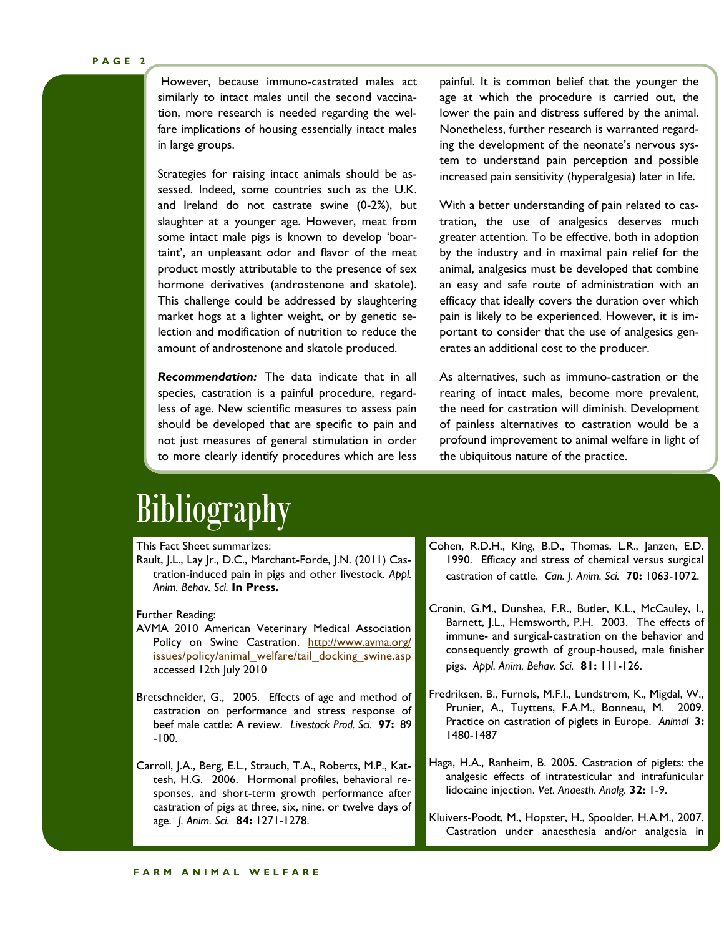However, because immuno-castrated males act similarly to intact males until the second vaccination, more research is needed regarding the welfare implications of housing essentially intact males in large groups.

Strategies for raising intact animals should be assessed. Indeed, some countries such as the U.K. and Ireland do not castrate swine (0-2%), but slaughter at a younger age. However, meat from some intact male pigs is known to develop 'boartaint', an unpleasant odor and flavor of the meat product mostly attributable to the presence of sex hormone derivatives (androstenone and skatole). This challenge could be addressed by slaughtering market hogs at a lighter weight, or by genetic selection and modification of nutrition to reduce the amount of androstenone and skatole produced.

*Recommendation:* The data indicate that in all species, castration is a painful procedure, regardless of age. New scientific measures to assess pain should be developed that are specific to pain and not just measures of general stimulation in order to more clearly identify procedures which are less

painful. It is common belief that the younger the age at which the procedure is carried out, the lower the pain and distress suffered by the animal. Nonetheless, further research is warranted regarding the development of the neonate's nervous system to understand pain perception and possible increased pain sensitivity (hyperalgesia) later in life.

With a better understanding of pain related to castration, the use of analgesics deserves much greater attention. To be effective, both in adoption by the industry and in maximal pain relief for the animal, analgesics must be developed that combine an easy and safe route of administration with an efficacy that ideally covers the duration over which pain is likely to be experienced. However, it is important to consider that the use of analgesics generates an additional cost to the producer.

As alternatives, such as immuno-castration or the rearing of intact males, become more prevalent, the need for castration will diminish. Development of painless alternatives to castration would be a profound improvement to animal welfare in light of the ubiquitous nature of the practice.

### Bibliography

#### This Fact Sheet summarizes:

Rault, J.L., Lay Jr., D.C., Marchant-Forde, J.N. (2011) Castration-induced pain in pigs and other livestock. *Appl. Anim. Behav. Sci.* **In Press.**

#### Further Reading:

- AVMA 2010 American Veterinary Medical Association Policy on Swine Castration. [http://www.avma.org/](http://www.avma.org/issues/policy/animal_welfare/tail_docking_swine.asp) [issues/policy/animal\\_welfare/tail\\_docking\\_swine.asp](http://www.avma.org/issues/policy/animal_welfare/tail_docking_swine.asp) accessed 12th July 2010
- Bretschneider, G., 2005. Effects of age and method of castration on performance and stress response of beef male cattle: A review. *Livestock Prod. Sci.* **97:** 89 -100.
- Carroll, J.A., Berg, E.L., Strauch, T.A., Roberts, M.P., Kattesh, H.G. 2006. Hormonal profiles, behavioral responses, and short-term growth performance after castration of pigs at three, six, nine, or twelve days of age. *J. Anim. Sci.* **84:** 1271-1278.
- Cohen, R.D.H., King, B.D., Thomas, L.R., Janzen, E.D. 1990. Efficacy and stress of chemical versus surgical castration of cattle. *Can. J. Anim. Sci.* **70:** 1063-1072.
- Cronin, G.M., Dunshea, F.R., Butler, K.L., McCauley, I., Barnett, J.L., Hemsworth, P.H. 2003. The effects of immune- and surgical-castration on the behavior and consequently growth of group-housed, male finisher pigs. *Appl. Anim. Behav. Sci.* **81:** 111-126.
- Fredriksen, B., Furnols, M.F.I., Lundstrom, K., Migdal, W., Prunier, A., Tuyttens, F.A.M., Bonneau, M. 2009. Practice on castration of piglets in Europe. *Animal* **3:**  1480-1487
- Haga, H.A., Ranheim, B. [2005.](http://journals.cambridge.org/action/displayFulltext?type=6&fid=6278596&jid=ANM&volumeId=3&issueId=11&aid=6278592&fulltextType=RA&fileId=S1751731109004728#ref13) Castration of piglets: the analgesic effects of intratesticular and intrafunicular lidocaine injection. *Vet. Anaesth. Analg.* **32:** 1-9.

Kluivers-Poodt, M., Hopster, H., Spoolder, H.A.M., 2007. Castration under anaesthesia and/or analgesia in